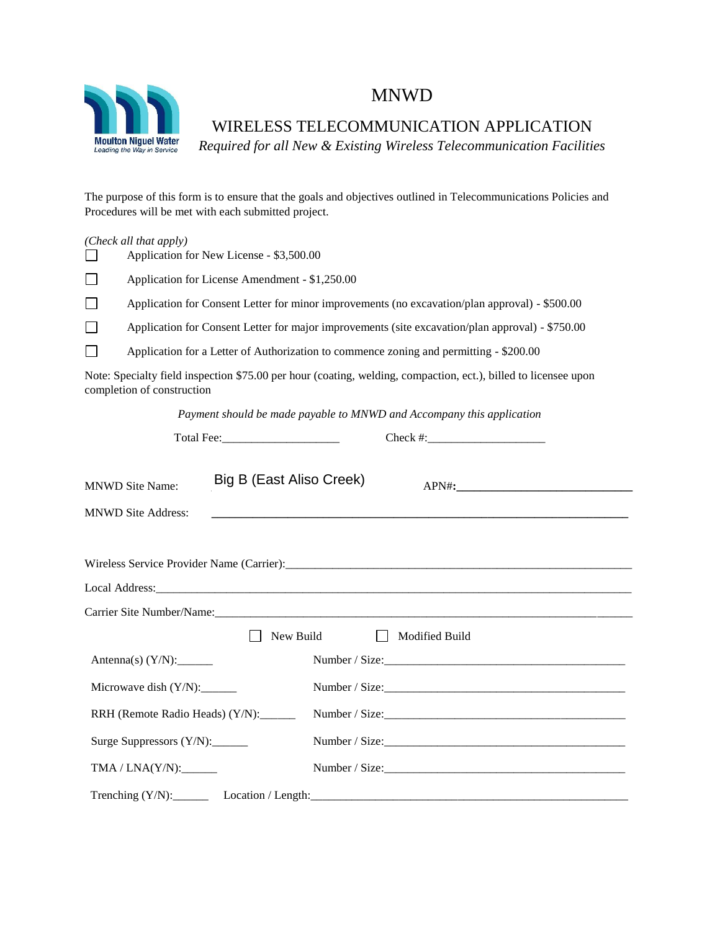

## MNWD

WIRELESS TELECOMMUNICATION APPLICATION

*Required for all New & Existing Wireless Telecommunication Facilities* 

The purpose of this form is to ensure that the goals and objectives outlined in Telecommunications Policies and Procedures will be met with each submitted project.

| (Check all that apply) |  |  |
|------------------------|--|--|
|------------------------|--|--|

| $\Box$ |                                                                                        | Application for New License - \$3,500.00                                                         |                                                                                                                 |  |  |  |
|--------|----------------------------------------------------------------------------------------|--------------------------------------------------------------------------------------------------|-----------------------------------------------------------------------------------------------------------------|--|--|--|
| $\Box$ | Application for License Amendment - \$1,250.00                                         |                                                                                                  |                                                                                                                 |  |  |  |
| $\Box$ |                                                                                        | Application for Consent Letter for minor improvements (no excavation/plan approval) - \$500.00   |                                                                                                                 |  |  |  |
| $\Box$ |                                                                                        | Application for Consent Letter for major improvements (site excavation/plan approval) - \$750.00 |                                                                                                                 |  |  |  |
| $\Box$ | Application for a Letter of Authorization to commence zoning and permitting - \$200.00 |                                                                                                  |                                                                                                                 |  |  |  |
|        | completion of construction                                                             |                                                                                                  | Note: Specialty field inspection \$75.00 per hour (coating, welding, compaction, ect.), billed to licensee upon |  |  |  |
|        |                                                                                        | Payment should be made payable to MNWD and Accompany this application                            |                                                                                                                 |  |  |  |
|        |                                                                                        |                                                                                                  |                                                                                                                 |  |  |  |
|        | <b>MNWD Site Name:</b>                                                                 | Big B (East Aliso Creek)                                                                         |                                                                                                                 |  |  |  |
|        | <b>MNWD Site Address:</b>                                                              |                                                                                                  |                                                                                                                 |  |  |  |
|        |                                                                                        |                                                                                                  |                                                                                                                 |  |  |  |
| .      |                                                                                        |                                                                                                  |                                                                                                                 |  |  |  |

|                                 | New Build<br>Modified Build<br>$\perp$ |  |  |  |  |  |
|---------------------------------|----------------------------------------|--|--|--|--|--|
|                                 |                                        |  |  |  |  |  |
| Microwave dish (Y/N):           |                                        |  |  |  |  |  |
| RRH (Remote Radio Heads) (Y/N): | Number / Size:                         |  |  |  |  |  |
|                                 |                                        |  |  |  |  |  |
| TMA / LNA(Y/N):                 |                                        |  |  |  |  |  |
|                                 |                                        |  |  |  |  |  |